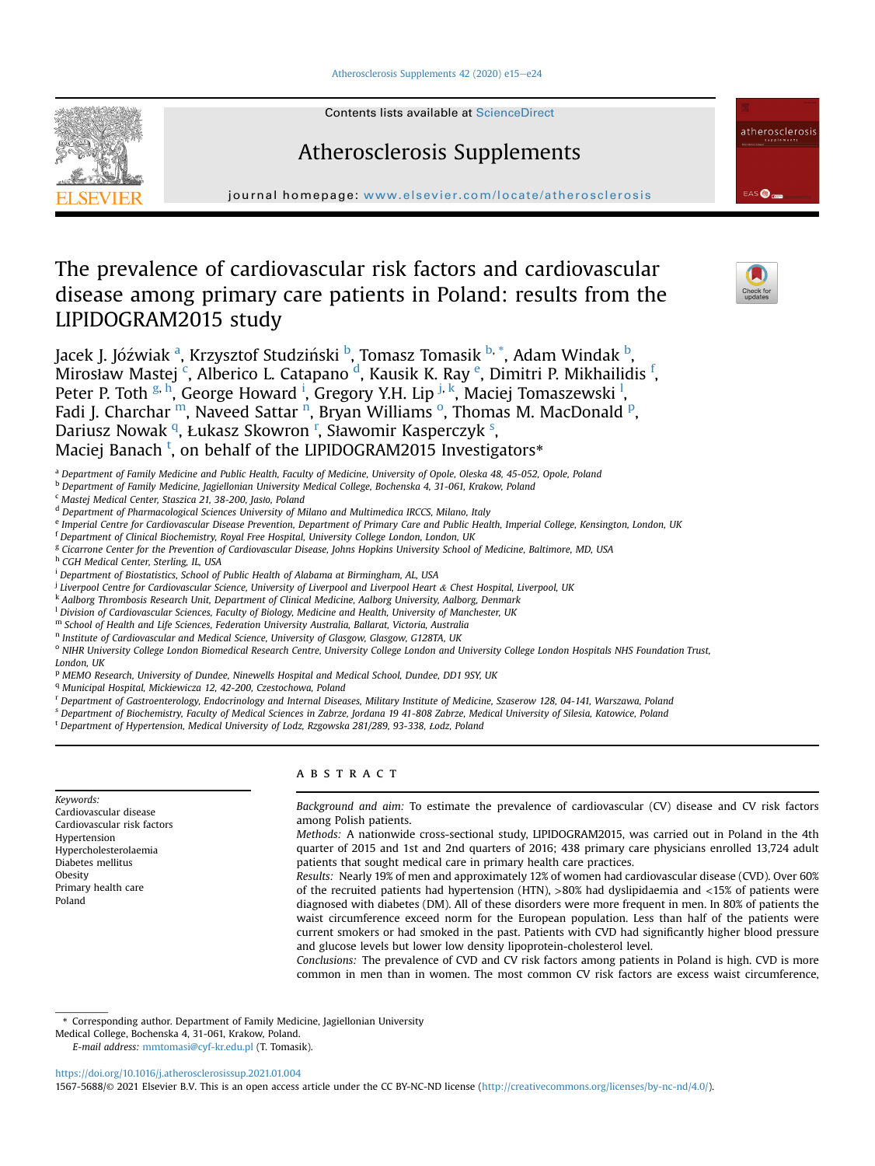#### [Atherosclerosis Supplements 42 \(2020\) e15](https://doi.org/10.1016/j.atherosclerosissup.2021.01.004)-[e24](https://doi.org/10.1016/j.atherosclerosissup.2021.01.004)



Contents lists available at ScienceDirect

# Atherosclerosis Supplements

journal homepage: <www.elsevier.com/locate/atherosclerosis>

# The prevalence of cardiovascular risk factors and cardiovascular disease among primary care patients in Poland: results from the LIPIDOGRAM2015 study



EAS **O** 

atherosclerosis

J[a](#page-0-0)cek J. Jóźwiak <sup>a</sup>, Krzysztof Studziński <sup>[b](#page-0-1)</sup>, Tomasz Tomasik <sup>b, [\\*](#page-0-2)</sup>, Adam Windak <sup>b</sup>, Mirosław Mastej <sup>[c](#page-0-3)</sup>, Alberico L. Catapano <sup>[d](#page-0-4)</sup>, Kausik K. Ray <sup>[e](#page-0-5)</sup>, Dimitri P. Mikhailidis <sup>[f](#page-0-6)</sup>, Peter P. Toth <sup>[g](#page-0-7), [h](#page-0-8)</sup>, George Howard <sup>[i](#page-0-9)</sup>, Gregory Y.H. Lip <sup>[j](#page-0-10), [k](#page-0-11)</sup>, Maciej Tomaszewski <sup>[l](#page-0-12)</sup>, Fadi J. Charchar <sup>m</sup>, Naveed Sattar <sup>[n](#page-0-14)</sup>, Bryan Williams <sup>[o](#page-0-15)</su[p](#page-0-16)>, Thomas M. MacDonald <sup>p</sup>, Dariusz Nowak <sup>[q](#page-0-17)</sup>, Łukasz Skow[r](#page-0-18)on <[s](#page-0-19)up>r</sup>, Sławomir Kasperczyk <sup>s</sup>, Maciej Banach <sup>[t](#page-0-20)</sup>, on behalf of the LIPIDOGRAM2015 Investigators[\\*](#page-0-20)

<span id="page-0-0"></span><sup>a</sup> Department of Family Medicine and Public Health, Faculty of Medicine, University of Opole, Oleska 48, 45-052, Opole, Poland

<span id="page-0-1"></span><sup>b</sup> Department of Family Medicine, Jagiellonian University Medical College, Bochenska 4, 31-061, Krakow, Poland

<span id="page-0-3"></span><sup>c</sup> Mastej Medical Center, Staszica 21, 38-200, Jasło, Poland

<span id="page-0-4"></span><sup>d</sup> Department of Pharmacological Sciences University of Milano and Multimedica IRCCS, Milano, Italy

<span id="page-0-5"></span>e Imperial Centre for Cardiovascular Disease Prevention, Department of Primary Care and Public Health, Imperial College, Kensington, London, UK

<span id="page-0-6"></span><sup>f</sup> Department of Clinical Biochemistry, Royal Free Hospital, University College London, London, UK

<span id="page-0-7"></span><sup>g</sup> Cicarrone Center for the Prevention of Cardiovascular Disease, Johns Hopkins University School of Medicine, Baltimore, MD, USA

- <span id="page-0-8"></span>h CGH Medical Center, Sterling, IL, USA
- <span id="page-0-9"></span><sup>i</sup> Department of Biostatistics, School of Public Health of Alabama at Birmingham, AL, USA

<span id="page-0-10"></span><sup>j</sup> Liverpool Centre for Cardiovascular Science, University of Liverpool and Liverpool Heart & Chest Hospital, Liverpool, UK

<span id="page-0-11"></span>k Aalborg Thrombosis Research Unit, Department of Clinical Medicine, Aalborg University, Aalborg, Denmark

<span id="page-0-12"></span> ${}^{1}$  Division of Cardiovascular Sciences, Faculty of Biology, Medicine and Health, University of Manchester, UK

- <span id="page-0-13"></span><sup>m</sup> School of Health and Life Sciences, Federation University Australia, Ballarat, Victoria, Australia
- <span id="page-0-14"></span>n Institute of Cardiovascular and Medical Science, University of Glasgow, Glasgow, G128TA, UK

<span id="page-0-15"></span><sup>o</sup> NIHR University College London Biomedical Research Centre, University College London and University College London Hospitals NHS Foundation Trust, London, UK

<span id="page-0-16"></span><sup>p</sup> MEMO Research, University of Dundee, Ninewells Hospital and Medical School, Dundee, DD1 9SY, UK

<span id="page-0-17"></span><sup>q</sup> Municipal Hospital, Mickiewicza 12, 42-200, Czestochowa, Poland

<span id="page-0-18"></span><sup>r</sup> Department of Gastroenterology, Endocrinology and Internal Diseases, Military Institute of Medicine, Szaserow 128, 04-141, Warszawa, Poland

<span id="page-0-19"></span><sup>s</sup> Department of Biochemistry, Faculty of Medical Sciences in Zabrze, Jordana 19 41-808 Zabrze, Medical University of Silesia, Katowice, Poland

<span id="page-0-20"></span><sup>t</sup> Department of Hypertension, Medical University of Lodz, Rzgowska 281/289, 93-338, Łodz, Poland

Keywords: Cardiovascular disease Cardiovascular risk factors Hypertension Hypercholesterolaemia Diabetes mellitus Obesity Primary health care Poland

# **ABSTRACT**

Background and aim: To estimate the prevalence of cardiovascular (CV) disease and CV risk factors among Polish patients.

Methods: A nationwide cross-sectional study, LIPIDOGRAM2015, was carried out in Poland in the 4th quarter of 2015 and 1st and 2nd quarters of 2016; 438 primary care physicians enrolled 13,724 adult patients that sought medical care in primary health care practices.

Results: Nearly 19% of men and approximately 12% of women had cardiovascular disease (CVD). Over 60% of the recruited patients had hypertension (HTN),  $>80\%$  had dyslipidaemia and  $<15\%$  of patients were diagnosed with diabetes (DM). All of these disorders were more frequent in men. In 80% of patients the waist circumference exceed norm for the European population. Less than half of the patients were current smokers or had smoked in the past. Patients with CVD had significantly higher blood pressure and glucose levels but lower low density lipoprotein-cholesterol level.

Conclusions: The prevalence of CVD and CV risk factors among patients in Poland is high. CVD is more common in men than in women. The most common CV risk factors are excess waist circumference,

<span id="page-0-2"></span>\* Corresponding author. Department of Family Medicine, Jagiellonian University

Medical College, Bochenska 4, 31-061, Krakow, Poland.

E-mail address: [mmtomasi@cyf-kr.edu.pl](mailto:mmtomasi@cyf-kr.edu.pl) (T. Tomasik).

<https://doi.org/10.1016/j.atherosclerosissup.2021.01.004>

1567-5688/© 2021 Elsevier B.V. This is an open access article under the CC BY-NC-ND license [\(http://creativecommons.org/licenses/by-nc-nd/4.0/](http://creativecommons.org/licenses/by-nc-nd/4.0/)).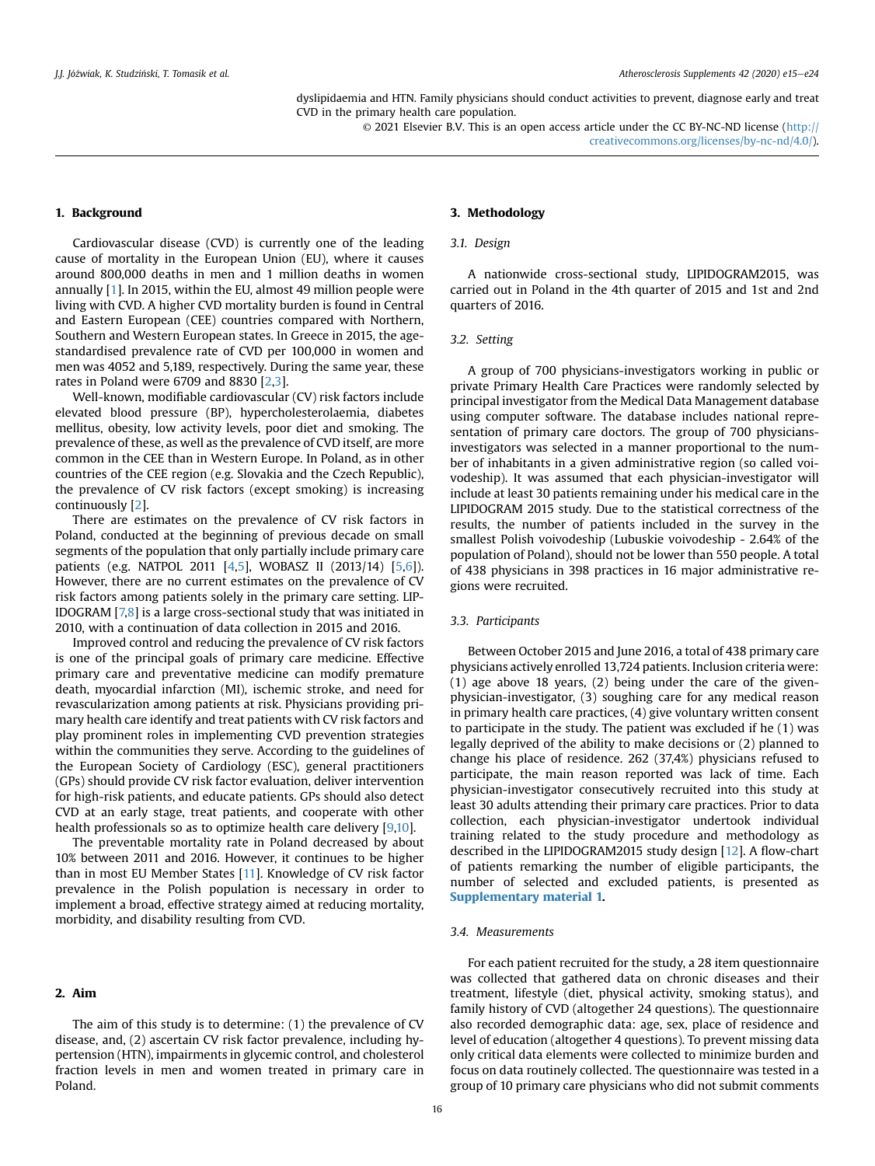dyslipidaemia and HTN. Family physicians should conduct activities to prevent, diagnose early and treat CVD in the primary health care population.

> © 2021 Elsevier B.V. This is an open access article under the CC BY-NC-ND license ([http://](http://creativecommons.org/licenses/by-nc-nd/4.0/) [creativecommons.org/licenses/by-nc-nd/4.0/](http://creativecommons.org/licenses/by-nc-nd/4.0/)).

## 1. Background

Cardiovascular disease (CVD) is currently one of the leading cause of mortality in the European Union (EU), where it causes around 800,000 deaths in men and 1 million deaths in women annually [\[1\]](#page-8-0). In 2015, within the EU, almost 49 million people were living with CVD. A higher CVD mortality burden is found in Central and Eastern European (CEE) countries compared with Northern, Southern and Western European states. In Greece in 2015, the agestandardised prevalence rate of CVD per 100,000 in women and men was 4052 and 5,189, respectively. During the same year, these rates in Poland were 6709 and 8830 [\[2](#page-8-1)[,3\]](#page-8-2).

Well-known, modifiable cardiovascular (CV) risk factors include elevated blood pressure (BP), hypercholesterolaemia, diabetes mellitus, obesity, low activity levels, poor diet and smoking. The prevalence of these, as well as the prevalence of CVD itself, are more common in the CEE than in Western Europe. In Poland, as in other countries of the CEE region (e.g. Slovakia and the Czech Republic), the prevalence of CV risk factors (except smoking) is increasing continuously [[2\]](#page-8-1).

There are estimates on the prevalence of CV risk factors in Poland, conducted at the beginning of previous decade on small segments of the population that only partially include primary care patients (e.g. NATPOL 2011 [\[4,](#page-8-3)[5\]](#page-8-4), WOBASZ II (2013/14) [\[5](#page-8-4)[,6\]](#page-8-5)). However, there are no current estimates on the prevalence of CV risk factors among patients solely in the primary care setting. LIP-IDOGRAM [[7,](#page-8-6)[8\]](#page-8-7) is a large cross-sectional study that was initiated in 2010, with a continuation of data collection in 2015 and 2016.

Improved control and reducing the prevalence of CV risk factors is one of the principal goals of primary care medicine. Effective primary care and preventative medicine can modify premature death, myocardial infarction (MI), ischemic stroke, and need for revascularization among patients at risk. Physicians providing primary health care identify and treat patients with CV risk factors and play prominent roles in implementing CVD prevention strategies within the communities they serve. According to the guidelines of the European Society of Cardiology (ESC), general practitioners (GPs) should provide CV risk factor evaluation, deliver intervention for high-risk patients, and educate patients. GPs should also detect CVD at an early stage, treat patients, and cooperate with other health professionals so as to optimize health care delivery [\[9](#page-8-8)[,10](#page-8-9)].

The preventable mortality rate in Poland decreased by about 10% between 2011 and 2016. However, it continues to be higher than in most EU Member States [[11](#page-8-10)]. Knowledge of CV risk factor prevalence in the Polish population is necessary in order to implement a broad, effective strategy aimed at reducing mortality, morbidity, and disability resulting from CVD.

# 2. Aim

The aim of this study is to determine: (1) the prevalence of CV disease, and, (2) ascertain CV risk factor prevalence, including hypertension (HTN), impairments in glycemic control, and cholesterol fraction levels in men and women treated in primary care in Poland.

# 3. Methodology

#### 3.1. Design

A nationwide cross-sectional study, LIPIDOGRAM2015, was carried out in Poland in the 4th quarter of 2015 and 1st and 2nd quarters of 2016.

#### 3.2. Setting

A group of 700 physicians-investigators working in public or private Primary Health Care Practices were randomly selected by principal investigator from the Medical Data Management database using computer software. The database includes national representation of primary care doctors. The group of 700 physiciansinvestigators was selected in a manner proportional to the number of inhabitants in a given administrative region (so called voivodeship). It was assumed that each physician-investigator will include at least 30 patients remaining under his medical care in the LIPIDOGRAM 2015 study. Due to the statistical correctness of the results, the number of patients included in the survey in the smallest Polish voivodeship (Lubuskie voivodeship - 2.64% of the population of Poland), should not be lower than 550 people. A total of 438 physicians in 398 practices in 16 major administrative regions were recruited.

### 3.3. Participants

Between October 2015 and June 2016, a total of 438 primary care physicians actively enrolled 13,724 patients. Inclusion criteria were: (1) age above 18 years, (2) being under the care of the givenphysician-investigator, (3) soughing care for any medical reason in primary health care practices, (4) give voluntary written consent to participate in the study. The patient was excluded if he (1) was legally deprived of the ability to make decisions or (2) planned to change his place of residence. 262 (37,4%) physicians refused to participate, the main reason reported was lack of time. Each physician-investigator consecutively recruited into this study at least 30 adults attending their primary care practices. Prior to data collection, each physician-investigator undertook individual training related to the study procedure and methodology as described in the LIPIDOGRAM2015 study design [[12\]](#page-8-11). A flow-chart of patients remarking the number of eligible participants, the number of selected and excluded patients, is presented as Supplementary material 1.

#### 3.4. Measurements

For each patient recruited for the study, a 28 item questionnaire was collected that gathered data on chronic diseases and their treatment, lifestyle (diet, physical activity, smoking status), and family history of CVD (altogether 24 questions). The questionnaire also recorded demographic data: age, sex, place of residence and level of education (altogether 4 questions). To prevent missing data only critical data elements were collected to minimize burden and focus on data routinely collected. The questionnaire was tested in a group of 10 primary care physicians who did not submit comments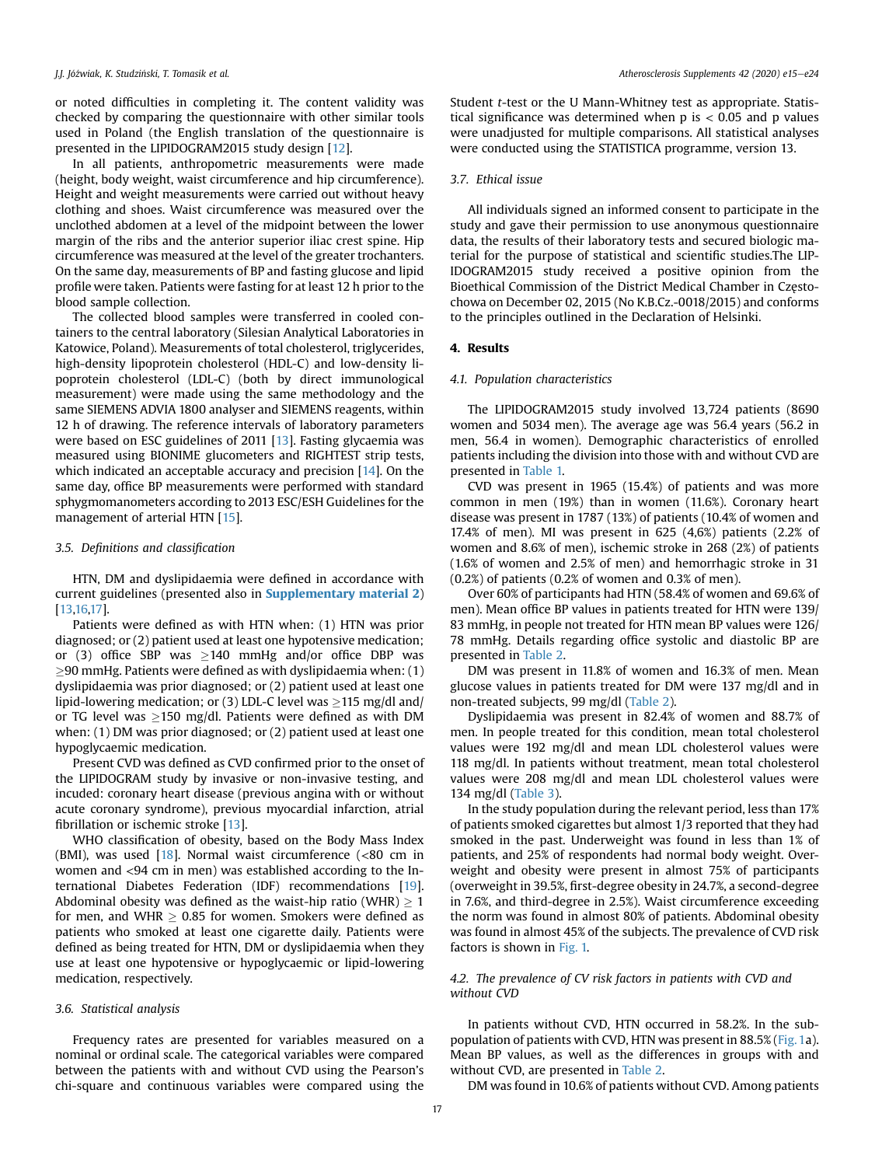or noted difficulties in completing it. The content validity was checked by comparing the questionnaire with other similar tools used in Poland (the English translation of the questionnaire is presented in the LIPIDOGRAM2015 study design [\[12](#page-8-11)].

In all patients, anthropometric measurements were made (height, body weight, waist circumference and hip circumference). Height and weight measurements were carried out without heavy clothing and shoes. Waist circumference was measured over the unclothed abdomen at a level of the midpoint between the lower margin of the ribs and the anterior superior iliac crest spine. Hip circumference was measured at the level of the greater trochanters. On the same day, measurements of BP and fasting glucose and lipid profile were taken. Patients were fasting for at least 12 h prior to the blood sample collection.

The collected blood samples were transferred in cooled containers to the central laboratory (Silesian Analytical Laboratories in Katowice, Poland). Measurements of total cholesterol, triglycerides, high-density lipoprotein cholesterol (HDL-C) and low-density lipoprotein cholesterol (LDL-C) (both by direct immunological measurement) were made using the same methodology and the same SIEMENS ADVIA 1800 analyser and SIEMENS reagents, within 12 h of drawing. The reference intervals of laboratory parameters were based on ESC guidelines of 2011 [[13\]](#page-8-12). Fasting glycaemia was measured using BIONIME glucometers and RIGHTEST strip tests, which indicated an acceptable accuracy and precision [[14\]](#page-8-13). On the same day, office BP measurements were performed with standard sphygmomanometers according to 2013 ESC/ESH Guidelines for the management of arterial HTN [\[15](#page-8-14)].

#### 3.5. Definitions and classification

HTN, DM and dyslipidaemia were defined in accordance with current guidelines (presented also in **Supplementary material 2)** [[13](#page-8-12)[,16,](#page-8-15)[17\]](#page-8-16).

Patients were defined as with HTN when: (1) HTN was prior diagnosed; or (2) patient used at least one hypotensive medication; or (3) office SBP was  $\geq$ 140 mmHg and/or office DBP was  $\geq$ 90 mmHg. Patients were defined as with dyslipidaemia when: (1) dyslipidaemia was prior diagnosed; or (2) patient used at least one lipid-lowering medication; or (3) LDL-C level was  $\geq$ 115 mg/dl and/ or TG level was  $\geq$ 150 mg/dl. Patients were defined as with DM when: (1) DM was prior diagnosed; or (2) patient used at least one hypoglycaemic medication.

Present CVD was defined as CVD confirmed prior to the onset of the LIPIDOGRAM study by invasive or non-invasive testing, and incuded: coronary heart disease (previous angina with or without acute coronary syndrome), previous myocardial infarction, atrial fibrillation or ischemic stroke [[13\]](#page-8-12).

WHO classification of obesity, based on the Body Mass Index (BMI), was used [\[18](#page-8-17)]. Normal waist circumference (<80 cm in women and <94 cm in men) was established according to the International Diabetes Federation (IDF) recommendations [[19\]](#page-8-18). Abdominal obesity was defined as the waist-hip ratio (WHR)  $\geq 1$ for men, and WHR  $\geq 0.85$  for women. Smokers were defined as patients who smoked at least one cigarette daily. Patients were defined as being treated for HTN, DM or dyslipidaemia when they use at least one hypotensive or hypoglycaemic or lipid-lowering medication, respectively.

### 3.6. Statistical analysis

Frequency rates are presented for variables measured on a nominal or ordinal scale. The categorical variables were compared between the patients with and without CVD using the Pearson's chi-square and continuous variables were compared using the

Student t-test or the U Mann-Whitney test as appropriate. Statistical significance was determined when  $p$  is  $< 0.05$  and  $p$  values were unadjusted for multiple comparisons. All statistical analyses were conducted using the STATISTICA programme, version 13.

# 3.7. Ethical issue

All individuals signed an informed consent to participate in the study and gave their permission to use anonymous questionnaire data, the results of their laboratory tests and secured biologic material for the purpose of statistical and scientific studies.The LIP-IDOGRAM2015 study received a positive opinion from the Bioethical Commission of the District Medical Chamber in Częstochowa on December 02, 2015 (No K.B.Cz.-0018/2015) and conforms to the principles outlined in the Declaration of Helsinki.

#### 4. Results

### 4.1. Population characteristics

The LIPIDOGRAM2015 study involved 13,724 patients (8690 women and 5034 men). The average age was 56.4 years (56.2 in men, 56.4 in women). Demographic characteristics of enrolled patients including the division into those with and without CVD are presented in [Table 1.](#page-3-0)

CVD was present in 1965 (15.4%) of patients and was more common in men (19%) than in women (11.6%). Coronary heart disease was present in 1787 (13%) of patients (10.4% of women and 17.4% of men). MI was present in 625 (4,6%) patients (2.2% of women and 8.6% of men), ischemic stroke in 268 (2%) of patients (1.6% of women and 2.5% of men) and hemorrhagic stroke in 31 (0.2%) of patients (0.2% of women and 0.3% of men).

Over 60% of participants had HTN (58.4% of women and 69.6% of men). Mean office BP values in patients treated for HTN were 139/ 83 mmHg, in people not treated for HTN mean BP values were 126/ 78 mmHg. Details regarding office systolic and diastolic BP are presented in [Table 2](#page-3-1).

DM was present in 11.8% of women and 16.3% of men. Mean glucose values in patients treated for DM were 137 mg/dl and in non-treated subjects, 99 mg/dl ([Table 2\)](#page-3-1).

Dyslipidaemia was present in 82.4% of women and 88.7% of men. In people treated for this condition, mean total cholesterol values were 192 mg/dl and mean LDL cholesterol values were 118 mg/dl. In patients without treatment, mean total cholesterol values were 208 mg/dl and mean LDL cholesterol values were 134 mg/dl ([Table 3\)](#page-4-0).

In the study population during the relevant period, less than 17% of patients smoked cigarettes but almost 1/3 reported that they had smoked in the past. Underweight was found in less than 1% of patients, and 25% of respondents had normal body weight. Overweight and obesity were present in almost 75% of participants (overweight in 39.5%, first-degree obesity in 24.7%, a second-degree in 7.6%, and third-degree in 2.5%). Waist circumference exceeding the norm was found in almost 80% of patients. Abdominal obesity was found in almost 45% of the subjects. The prevalence of CVD risk factors is shown in [Fig. 1.](#page-5-0)

# 4.2. The prevalence of CV risk factors in patients with CVD and without CVD

In patients without CVD, HTN occurred in 58.2%. In the subpopulation of patients with CVD, HTN was present in 88.5% ([Fig. 1a](#page-5-0)). Mean BP values, as well as the differences in groups with and without CVD, are presented in [Table 2.](#page-3-1)

DM was found in 10.6% of patients without CVD. Among patients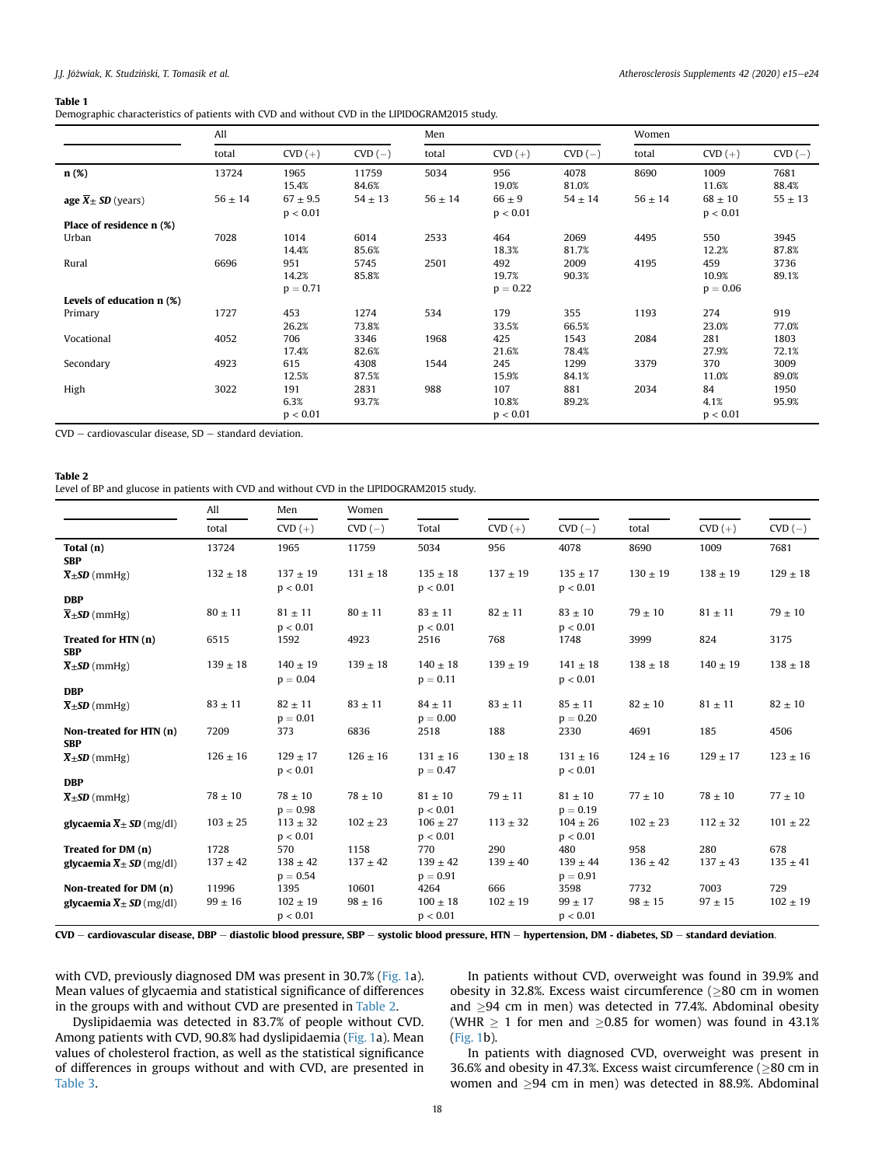#### <span id="page-3-0"></span>Table 1

Demographic characteristics of patients with CVD and without CVD in the LIPIDOGRAM2015 study.

|                                   | All         |                            |                | Men         |                            |               | Women       |                            |               |
|-----------------------------------|-------------|----------------------------|----------------|-------------|----------------------------|---------------|-------------|----------------------------|---------------|
|                                   | total       | $CVD (+)$                  | $CVD$ $(-)$    | total       | $CVD (+)$                  | $CVD$ $(-)$   | total       | $CVD (+)$                  | $CVD(-)$      |
| n(%)                              | 13724       | 1965<br>15.4%              | 11759<br>84.6% | 5034        | 956<br>19.0%               | 4078<br>81.0% | 8690        | 1009<br>11.6%              | 7681<br>88.4% |
| age $\overline{X} \pm SD$ (years) | $56 \pm 14$ | $67 \pm 9.5$<br>p < 0.01   | $54 \pm 13$    | $56 \pm 14$ | $66 \pm 9$<br>p < 0.01     | $54 \pm 14$   | $56 \pm 14$ | $68 \pm 10$<br>p < 0.01    | $55 \pm 13$   |
| Place of residence n (%)          |             |                            |                |             |                            |               |             |                            |               |
| Urban                             | 7028        | 1014<br>14.4%              | 6014<br>85.6%  | 2533        | 464<br>18.3%               | 2069<br>81.7% | 4495        | 550<br>12.2%               | 3945<br>87.8% |
| Rural                             | 6696        | 951<br>14.2%<br>$p = 0.71$ | 5745<br>85.8%  | 2501        | 492<br>19.7%<br>$p = 0.22$ | 2009<br>90.3% | 4195        | 459<br>10.9%<br>$p = 0.06$ | 3736<br>89.1% |
| Levels of education n (%)         |             |                            |                |             |                            |               |             |                            |               |
| Primary                           | 1727        | 453<br>26.2%               | 1274<br>73.8%  | 534         | 179<br>33.5%               | 355<br>66.5%  | 1193        | 274<br>23.0%               | 919<br>77.0%  |
| Vocational                        | 4052        | 706<br>17.4%               | 3346<br>82.6%  | 1968        | 425<br>21.6%               | 1543<br>78.4% | 2084        | 281<br>27.9%               | 1803<br>72.1% |
| Secondary                         | 4923        | 615<br>12.5%               | 4308<br>87.5%  | 1544        | 245<br>15.9%               | 1299<br>84.1% | 3379        | 370<br>11.0%               | 3009<br>89.0% |
| High                              | 3022        | 191<br>6.3%<br>p < 0.01    | 2831<br>93.7%  | 988         | 107<br>10.8%<br>p < 0.01   | 881<br>89.2%  | 2034        | 84<br>4.1%<br>p < 0.01     | 1950<br>95.9% |

 $CVD -$  cardiovascular disease,  $SD -$  standard deviation.

#### <span id="page-3-1"></span>Table 2

Level of BP and glucose in patients with CVD and without CVD in the LIPIDOGRAM2015 study.

|                                         | All          | Men                        | Women        |                            |              |                            |              |              |              |
|-----------------------------------------|--------------|----------------------------|--------------|----------------------------|--------------|----------------------------|--------------|--------------|--------------|
|                                         | total        | $CVD (+)$                  | $CVD$ $(-)$  | Total                      | $CVD (+)$    | $CVD(-)$                   | total        | $CVD (+)$    | $CVD$ $(-)$  |
| Total (n)<br><b>SBP</b>                 | 13724        | 1965                       | 11759        | 5034                       | 956          | 4078                       | 8690         | 1009         | 7681         |
| $\overline{X} \pm SD$ (mmHg)            | $132 \pm 18$ | $137 + 19$<br>p < 0.01     | $131 \pm 18$ | $135 \pm 18$<br>p < 0.01   | $137 \pm 19$ | $135 \pm 17$<br>p < 0.01   | $130 \pm 19$ | $138 \pm 19$ | $129 \pm 18$ |
| <b>DBP</b>                              |              |                            |              |                            |              |                            |              |              |              |
| $\overline{X}$ ± SD (mmHg)              | $80 \pm 11$  | $81 \pm 11$<br>p < 0.01    | $80 \pm 11$  | $83 \pm 11$<br>p < 0.01    | $82 \pm 11$  | $83 \pm 10$<br>p < 0.01    | $79 \pm 10$  | $81 \pm 11$  | $79\pm10$    |
| Treated for HTN (n)<br><b>SBP</b>       | 6515         | 1592                       | 4923         | 2516                       | 768          | 1748                       | 3999         | 824          | 3175         |
| $\overline{X} \pm SD$ (mmHg)            | $139 \pm 18$ | $140 \pm 19$<br>$p = 0.04$ | $139 \pm 18$ | $140 \pm 18$<br>$p = 0.11$ | $139 \pm 19$ | $141 \pm 18$<br>p < 0.01   | $138 \pm 18$ | $140 \pm 19$ | $138 \pm 18$ |
| <b>DBP</b>                              |              |                            |              |                            |              |                            |              |              |              |
| $\overline{X}$ ± SD (mmHg)              | $83 \pm 11$  | $82 \pm 11$<br>$p = 0.01$  | $83 \pm 11$  | $84 \pm 11$<br>$p = 0.00$  | $83 \pm 11$  | $85 \pm 11$<br>$p = 0.20$  | $82 \pm 10$  | $81 \pm 11$  | $82 \pm 10$  |
| Non-treated for HTN (n)<br><b>SBP</b>   | 7209         | 373                        | 6836         | 2518                       | 188          | 2330                       | 4691         | 185          | 4506         |
| $\overline{X}$ ± <b>SD</b> (mmHg)       | $126 \pm 16$ | $129 \pm 17$<br>p < 0.01   | $126 \pm 16$ | $131 \pm 16$<br>$p = 0.47$ | $130 \pm 18$ | $131 \pm 16$<br>p < 0.01   | $124 \pm 16$ | $129 \pm 17$ | $123 \pm 16$ |
| <b>DBP</b>                              |              |                            |              |                            |              |                            |              |              |              |
| $\overline{X}$ ± SD (mmHg)              | $78 \pm 10$  | $78 \pm 10$<br>$p = 0.98$  | $78 \pm 10$  | $81 \pm 10$<br>p < 0.01    | $79 \pm 11$  | $81 \pm 10$<br>$p = 0.19$  | $77 \pm 10$  | $78 \pm 10$  | $77 \pm 10$  |
| glycaemia $\overline{X} \pm SD$ (mg/dl) | $103 \pm 25$ | $113 \pm 32$<br>p < 0.01   | $102 \pm 23$ | $106 \pm 27$<br>p < 0.01   | $113 \pm 32$ | $104 \pm 26$<br>p < 0.01   | $102 \pm 23$ | $112 \pm 32$ | $101 \pm 22$ |
| Treated for DM (n)                      | 1728         | 570                        | 1158         | 770                        | 290          | 480                        | 958          | 280          | 678          |
| glycaemia $\overline{X}$ ± SD (mg/dl)   | $137 \pm 42$ | $138 \pm 42$<br>$p = 0.54$ | $137 \pm 42$ | $139 \pm 42$<br>$p = 0.91$ | $139 \pm 40$ | $139 \pm 44$<br>$p = 0.91$ | $136 \pm 42$ | $137 \pm 43$ | $135 \pm 41$ |
| Non-treated for DM (n)                  | 11996        | 1395                       | 10601        | 4264                       | 666          | 3598                       | 7732         | 7003         | 729          |
| glycaemia $\overline{X} \pm SD$ (mg/dl) | $99 \pm 16$  | $102 \pm 19$<br>p < 0.01   | $98 \pm 16$  | $100 \pm 18$<br>p < 0.01   | $102 \pm 19$ | $99 \pm 17$<br>p < 0.01    | $98 \pm 15$  | $97 \pm 15$  | $102 \pm 19$ |

CVD - cardiovascular disease, DBP - diastolic blood pressure, SBP - systolic blood pressure, HTN - hypertension, DM - diabetes, SD - standard deviation.

with CVD, previously diagnosed DM was present in 30.7% [\(Fig. 1a](#page-5-0)). Mean values of glycaemia and statistical significance of differences in the groups with and without CVD are presented in [Table 2.](#page-3-1)

In patients without CVD, overweight was found in 39.9% and obesity in 32.8%. Excess waist circumference ( $\geq$ 80 cm in women and  $\geq$ 94 cm in men) was detected in 77.4%. Abdominal obesity (WHR  $\geq$  1 for men and  $\geq$ 0.85 for women) was found in 43.1% ([Fig. 1](#page-5-0)b).

Dyslipidaemia was detected in 83.7% of people without CVD. Among patients with CVD, 90.8% had dyslipidaemia ([Fig. 1](#page-5-0)a). Mean values of cholesterol fraction, as well as the statistical significance of differences in groups without and with CVD, are presented in [Table 3.](#page-4-0)

In patients with diagnosed CVD, overweight was present in 36.6% and obesity in 47.3%. Excess waist circumference ( $\geq$ 80 cm in women and  $\geq$ 94 cm in men) was detected in 88.9%. Abdominal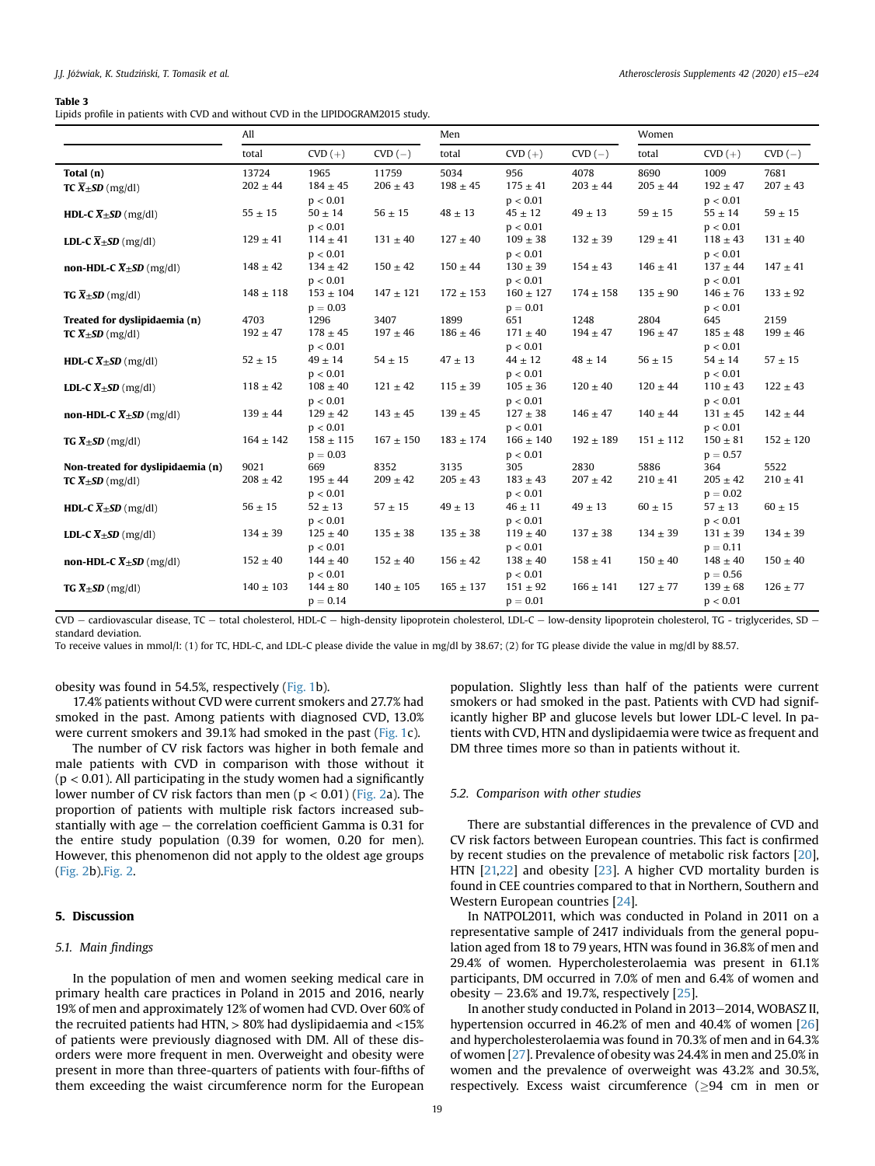#### <span id="page-4-0"></span>Table 3

Lipids profile in patients with CVD and without CVD in the LIPIDOGRAM2015 study.

|                                                                 | All                   |                                  |                       | Men                  |                                 |                      | Women                |                                  |                      |
|-----------------------------------------------------------------|-----------------------|----------------------------------|-----------------------|----------------------|---------------------------------|----------------------|----------------------|----------------------------------|----------------------|
|                                                                 | total                 | $CVD (+)$                        | $CVD(-)$              | total                | $CVD (+)$                       | $CVD$ $(-)$          | total                | $CVD (+)$                        | $CVD(-)$             |
| Total $(n)$<br><b>TC</b> $\overline{X}$ $\pm$ <b>SD</b> (mg/dl) | 13724<br>$202 \pm 44$ | 1965<br>$184 \pm 45$<br>p < 0.01 | 11759<br>$206 \pm 43$ | 5034<br>$198 \pm 45$ | 956<br>$175 \pm 41$<br>p < 0.01 | 4078<br>$203 \pm 44$ | 8690<br>$205 \pm 44$ | 1009<br>$192 \pm 47$<br>p < 0.01 | 7681<br>$207 \pm 43$ |
| <b>HDL-C</b> $\overline{X}$ + SD (mg/dl)                        | $55 \pm 15$           | $50 \pm 14$<br>p < 0.01          | $56 \pm 15$           | $48 \pm 13$          | $45 \pm 12$<br>p < 0.01         | $49 \pm 13$          | $59\pm15$            | $55 \pm 14$<br>p < 0.01          | $59 \pm 15$          |
| <b>LDL-C</b> $\overline{X}$ + <b>SD</b> (mg/dl)                 | $129 \pm 41$          | $114 \pm 41$<br>p < 0.01         | $131 \pm 40$          | $127 \pm 40$         | $109 \pm 38$<br>p < 0.01        | $132 \pm 39$         | $129 \pm 41$         | $118 \pm 43$<br>p < 0.01         | $131 \pm 40$         |
| non-HDL-C $\overline{X} \pm SD$ (mg/dl)                         | $148 \pm 42$          | $134 \pm 42$<br>p < 0.01         | $150 \pm 42$          | $150 \pm 44$         | $130 \pm 39$<br>p < 0.01        | $154 \pm 43$         | $146 \pm 41$         | $137 \pm 44$<br>p < 0.01         | $147 \pm 41$         |
| <b>TG</b> $\overline{X}$ $\pm$ <b>SD</b> (mg/dl)                | $148 \pm 118$         | $153 \pm 104$<br>$p = 0.03$      | $147 \pm 121$         | $172 \pm 153$        | $160 \pm 127$<br>$p = 0.01$     | $174 \pm 158$        | $135 \pm 90$         | $146 \pm 76$<br>p < 0.01         | $133 \pm 92$         |
| Treated for dyslipidaemia (n)                                   | 4703                  | 1296                             | 3407                  | 1899                 | 651                             | 1248                 | 2804                 | 645                              | 2159                 |
| <b>TC</b> $\overline{X}$ + SD (mg/dl)                           | $192 \pm 47$          | $178 \pm 45$<br>p < 0.01         | $197 \pm 46$          | $186 \pm 46$         | $171 \pm 40$<br>p < 0.01        | $194 \pm 47$         | $196 \pm 47$         | $185 \pm 48$<br>p < 0.01         | $199 \pm 46$         |
| <b>HDL-C</b> $\overline{X}$ $\pm$ <b>SD</b> (mg/dl)             | $52 \pm 15$           | $49 \pm 14$<br>p < 0.01          | $54 \pm 15$           | $47 \pm 13$          | $44 \pm 12$<br>p < 0.01         | $48 \pm 14$          | $56 \pm 15$          | $54 \pm 14$<br>p < 0.01          | $57 \pm 15$          |
| <b>LDL-C</b> $\overline{X}$ + SD (mg/dl)                        | $118 \pm 42$          | $108 \pm 40$<br>p < 0.01         | $121 \pm 42$          | $115 \pm 39$         | $105 \pm 36$<br>p < 0.01        | $120 \pm 40$         | $120 \pm 44$         | $110 \pm 43$<br>p < 0.01         | $122 \pm 43$         |
| non-HDL-C $\overline{X} \pm SD$ (mg/dl)                         | $139 \pm 44$          | $129 \pm 42$<br>p < 0.01         | $143 \pm 45$          | $139 \pm 45$         | $127 \pm 38$<br>p < 0.01        | $146 \pm 47$         | $140 \pm 44$         | $131 \pm 45$<br>p < 0.01         | $142 \pm 44$         |
| <b>TG</b> $\overline{X}$ ± <b>SD</b> (mg/dl)                    | $164 \pm 142$         | $158 \pm 115$<br>$p = 0.03$      | $167 \pm 150$         | $183 \pm 174$        | $166 \pm 140$<br>p < 0.01       | $192 \pm 189$        | $151 \pm 112$        | $150 \pm 81$<br>$p = 0.57$       | $152 \pm 120$        |
| Non-treated for dyslipidaemia (n)                               | 9021                  | 669                              | 8352                  | 3135                 | 305                             | 2830                 | 5886                 | 364                              | 5522                 |
| <b>TC</b> $\overline{X}$ $\pm$ <b>SD</b> (mg/dl)                | $208 \pm 42$          | $195 \pm 44$<br>p < 0.01         | $209 \pm 42$          | $205 \pm 43$         | $183 \pm 43$<br>p < 0.01        | $207 \pm 42$         | $210 \pm 41$         | $205 \pm 42$<br>$p = 0.02$       | $210 \pm 41$         |
| <b>HDL-C</b> $\overline{X}$ + <b>SD</b> (mg/dl)                 | $56 \pm 15$           | $52 \pm 13$<br>p < 0.01          | $57 \pm 15$           | $49 \pm 13$          | $46 \pm 11$<br>p < 0.01         | $49 \pm 13$          | $60 \pm 15$          | $57 \pm 13$<br>p < 0.01          | $60 \pm 15$          |
| <b>LDL-C</b> $\overline{X}$ + SD (mg/dl)                        | $134 \pm 39$          | $125 \pm 40$<br>p < 0.01         | $135 \pm 38$          | $135 \pm 38$         | $119 \pm 40$<br>p < 0.01        | $137 \pm 38$         | $134 \pm 39$         | $131 \pm 39$<br>$p = 0.11$       | $134 \pm 39$         |
| non-HDL-C $\overline{X} \pm SD$ (mg/dl)                         | $152 \pm 40$          | $144 \pm 40$<br>p < 0.01         | $152 \pm 40$          | $156 \pm 42$         | $138 \pm 40$<br>p < 0.01        | $158 \pm 41$         | $150 \pm 40$         | $148 \pm 40$<br>$p = 0.56$       | $150 \pm 40$         |
| <b>TG</b> $\overline{X}$ ± <b>SD</b> (mg/dl)                    | $140 \pm 103$         | $144 \pm 80$<br>$p = 0.14$       | $140 \pm 105$         | $165 \pm 137$        | $151 \pm 92$<br>$p = 0.01$      | $166 \pm 141$        | $127 + 77$           | $139 \pm 68$<br>p < 0.01         | $126 \pm 77$         |

CVD - cardiovascular disease, TC - total cholesterol, HDL-C - high-density lipoprotein cholesterol, LDL-C - low-density lipoprotein cholesterol, TG - triglycerides, SD standard deviation.

To receive values in mmol/l: (1) for TC, HDL-C, and LDL-C please divide the value in mg/dl by 38.67; (2) for TG please divide the value in mg/dl by 88.57.

obesity was found in 54.5%, respectively [\(Fig. 1b](#page-5-0)).

17.4% patients without CVD were current smokers and 27.7% had smoked in the past. Among patients with diagnosed CVD, 13.0% were current smokers and 39.1% had smoked in the past ([Fig. 1c](#page-5-0)).

The number of CV risk factors was higher in both female and male patients with CVD in comparison with those without it  $(p < 0.01)$ . All participating in the study women had a significantly lower number of CV risk factors than men ( $p < 0.01$ ) ([Fig. 2](#page-6-0)a). The proportion of patients with multiple risk factors increased substantially with age  $-$  the correlation coefficient Gamma is 0.31 for the entire study population (0.39 for women, 0.20 for men). However, this phenomenon did not apply to the oldest age groups ([Fig. 2b](#page-6-0))[.Fig. 2.](#page-6-0)

# 5. Discussion

# 5.1. Main findings

In the population of men and women seeking medical care in primary health care practices in Poland in 2015 and 2016, nearly 19% of men and approximately 12% of women had CVD. Over 60% of the recruited patients had HTN, > 80% had dyslipidaemia and <15% of patients were previously diagnosed with DM. All of these disorders were more frequent in men. Overweight and obesity were present in more than three-quarters of patients with four-fifths of them exceeding the waist circumference norm for the European

population. Slightly less than half of the patients were current smokers or had smoked in the past. Patients with CVD had significantly higher BP and glucose levels but lower LDL-C level. In patients with CVD, HTN and dyslipidaemia were twice as frequent and DM three times more so than in patients without it.

## 5.2. Comparison with other studies

There are substantial differences in the prevalence of CVD and CV risk factors between European countries. This fact is confirmed by recent studies on the prevalence of metabolic risk factors [\[20\]](#page-8-19), HTN [[21,](#page-8-20)[22\]](#page-8-21) and obesity [[23\]](#page-8-22). A higher CVD mortality burden is found in CEE countries compared to that in Northern, Southern and Western European countries [[24](#page-8-23)].

In NATPOL2011, which was conducted in Poland in 2011 on a representative sample of 2417 individuals from the general population aged from 18 to 79 years, HTN was found in 36.8% of men and 29.4% of women. Hypercholesterolaemia was present in 61.1% participants, DM occurred in 7.0% of men and 6.4% of women and obesity  $-23.6%$  and 19.7%, respectively [\[25](#page-8-24)].

In another study conducted in Poland in 2013-2014, WOBASZ II, hypertension occurred in 46.2% of men and 40.4% of women [\[26\]](#page-8-25) and hypercholesterolaemia was found in 70.3% of men and in 64.3% of women [[27](#page-8-26)]. Prevalence of obesity was 24.4% in men and 25.0% in women and the prevalence of overweight was 43.2% and 30.5%, respectively. Excess waist circumference  $(\geq 94 \text{ cm in men or})$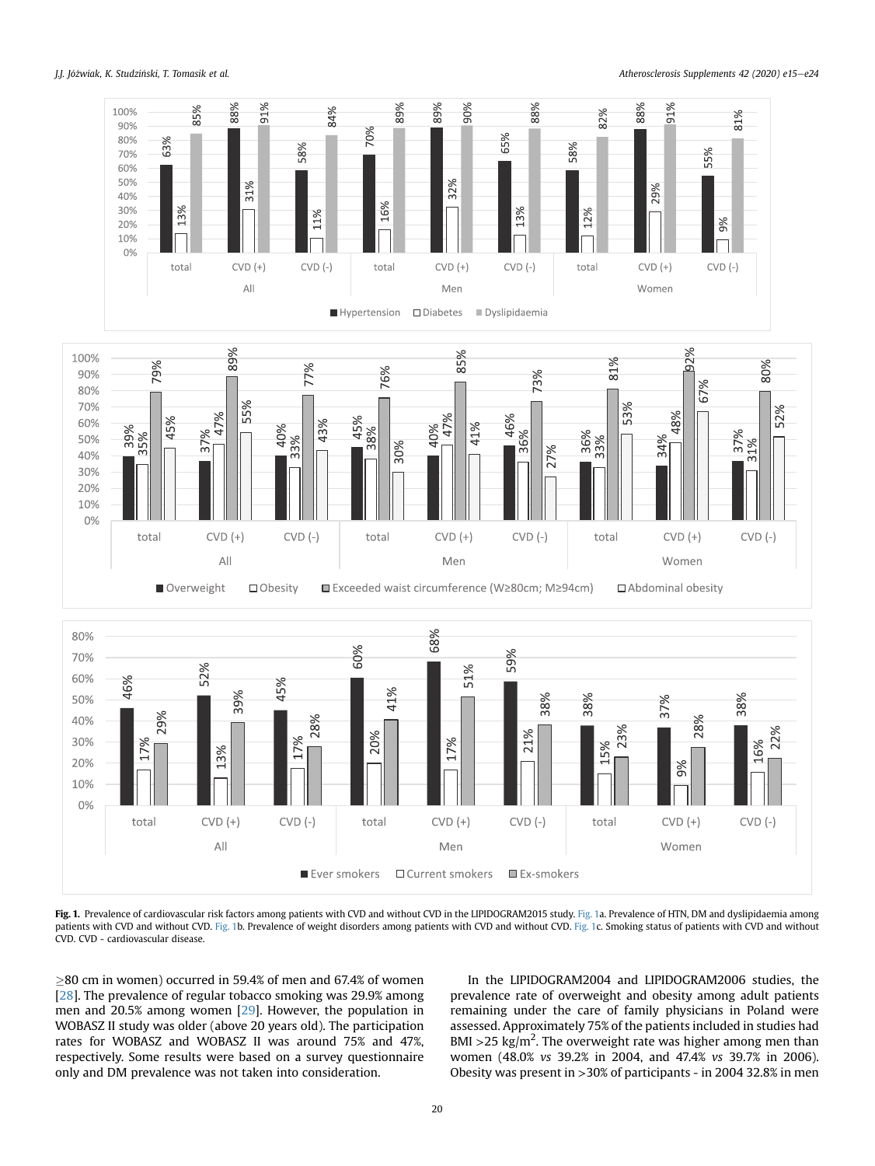<span id="page-5-0"></span>J.J. Jóźwiak, K. Studziński, T. Tomasik et al. **Atherosclerosis Supplements 42 (2020) e15–e24** 



[Fig. 1](#page-5-0). Prevalence of cardiovascular risk factors among patients with CVD and without CVD in the LIPIDOGRAM2015 study. Fig. 1a. Prevalence of HTN, DM and dyslipidaemia among patients with CVD and without CVD. [Fig. 1b](#page-5-0). Prevalence of weight disorders among patients with CVD and without CVD. [Fig. 1](#page-5-0)c. Smoking status of patients with CVD and without CVD. CVD - cardiovascular disease.

80 cm in women) occurred in 59.4% of men and 67.4% of women [[28](#page-9-0)]. The prevalence of regular tobacco smoking was 29.9% among men and 20.5% among women [\[29\]](#page-9-1). However, the population in WOBASZ II study was older (above 20 years old). The participation rates for WOBASZ and WOBASZ II was around 75% and 47%, respectively. Some results were based on a survey questionnaire only and DM prevalence was not taken into consideration.

In the LIPIDOGRAM2004 and LIPIDOGRAM2006 studies, the prevalence rate of overweight and obesity among adult patients remaining under the care of family physicians in Poland were assessed. Approximately 75% of the patients included in studies had BMI > 25 kg/m<sup>2</sup>. The overweight rate was higher among men than women (48.0% vs 39.2% in 2004, and 47.4% vs 39.7% in 2006). Obesity was present in >30% of participants - in 2004 32.8% in men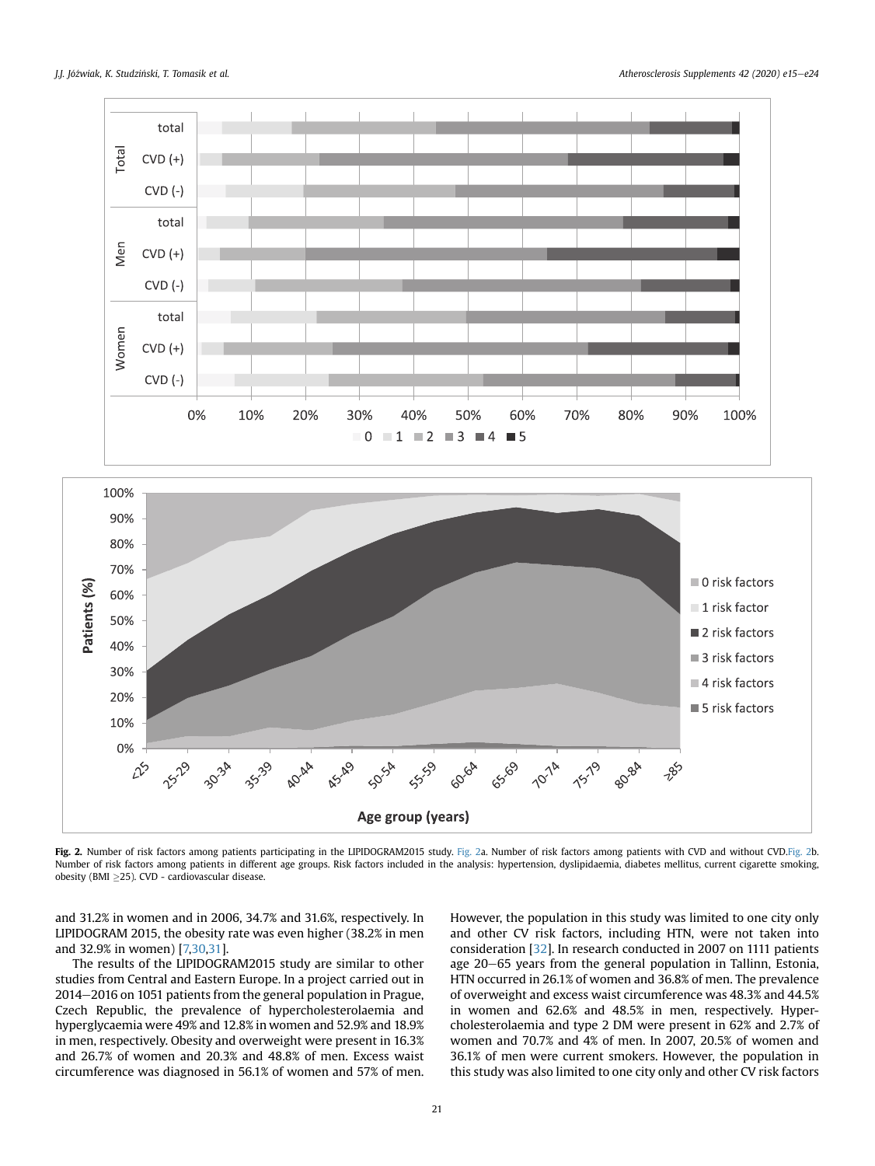<span id="page-6-0"></span>

[Fig. 2](#page-6-0). Number of risk factors among patients participating in the LIPIDOGRAM2015 study. Fig. 2a. Number of risk factors among patients with CVD and without CVD[.Fig. 2b](#page-6-0). Number of risk factors among patients in different age groups. Risk factors included in the analysis: hypertension, dyslipidaemia, diabetes mellitus, current cigarette smoking, obesity (BMI  $\geq$ 25). CVD - cardiovascular disease.

and 31.2% in women and in 2006, 34.7% and 31.6%, respectively. In LIPIDOGRAM 2015, the obesity rate was even higher (38.2% in men and 32.9% in women) [[7,](#page-8-6)[30,](#page-9-2)[31](#page-9-3)].

The results of the LIPIDOGRAM2015 study are similar to other studies from Central and Eastern Europe. In a project carried out in  $2014-2016$  on 1051 patients from the general population in Prague, Czech Republic, the prevalence of hypercholesterolaemia and hyperglycaemia were 49% and 12.8% in women and 52.9% and 18.9% in men, respectively. Obesity and overweight were present in 16.3% and 26.7% of women and 20.3% and 48.8% of men. Excess waist circumference was diagnosed in 56.1% of women and 57% of men. However, the population in this study was limited to one city only and other CV risk factors, including HTN, were not taken into consideration [\[32\]](#page-9-4). In research conducted in 2007 on 1111 patients age 20–65 years from the general population in Tallinn, Estonia, HTN occurred in 26.1% of women and 36.8% of men. The prevalence of overweight and excess waist circumference was 48.3% and 44.5% in women and 62.6% and 48.5% in men, respectively. Hypercholesterolaemia and type 2 DM were present in 62% and 2.7% of women and 70.7% and 4% of men. In 2007, 20.5% of women and 36.1% of men were current smokers. However, the population in this study was also limited to one city only and other CV risk factors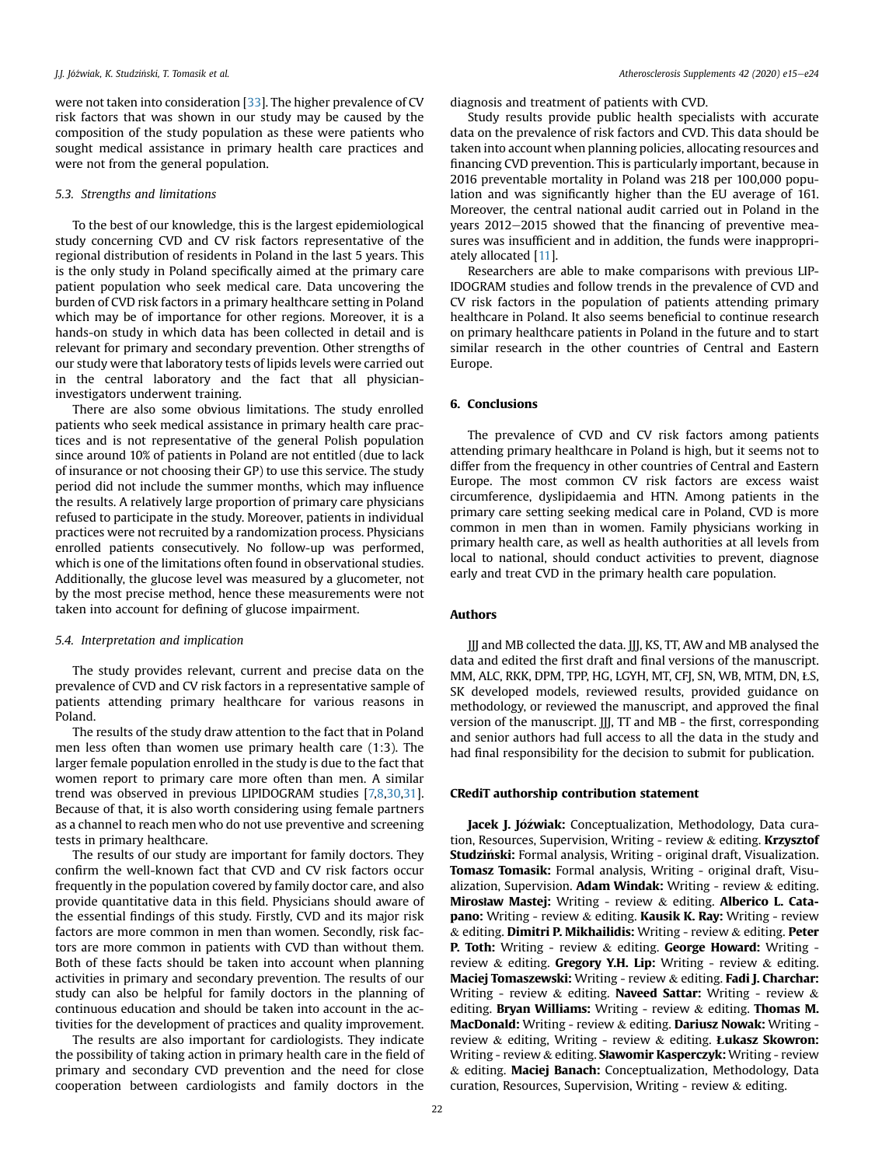were not taken into consideration [\[33\]](#page-9-5). The higher prevalence of CV risk factors that was shown in our study may be caused by the composition of the study population as these were patients who sought medical assistance in primary health care practices and were not from the general population.

### 5.3. Strengths and limitations

To the best of our knowledge, this is the largest epidemiological study concerning CVD and CV risk factors representative of the regional distribution of residents in Poland in the last 5 years. This is the only study in Poland specifically aimed at the primary care patient population who seek medical care. Data uncovering the burden of CVD risk factors in a primary healthcare setting in Poland which may be of importance for other regions. Moreover, it is a hands-on study in which data has been collected in detail and is relevant for primary and secondary prevention. Other strengths of our study were that laboratory tests of lipids levels were carried out in the central laboratory and the fact that all physicianinvestigators underwent training.

There are also some obvious limitations. The study enrolled patients who seek medical assistance in primary health care practices and is not representative of the general Polish population since around 10% of patients in Poland are not entitled (due to lack of insurance or not choosing their GP) to use this service. The study period did not include the summer months, which may influence the results. A relatively large proportion of primary care physicians refused to participate in the study. Moreover, patients in individual practices were not recruited by a randomization process. Physicians enrolled patients consecutively. No follow-up was performed, which is one of the limitations often found in observational studies. Additionally, the glucose level was measured by a glucometer, not by the most precise method, hence these measurements were not taken into account for defining of glucose impairment.

#### 5.4. Interpretation and implication

The study provides relevant, current and precise data on the prevalence of CVD and CV risk factors in a representative sample of patients attending primary healthcare for various reasons in Poland.

The results of the study draw attention to the fact that in Poland men less often than women use primary health care (1:3). The larger female population enrolled in the study is due to the fact that women report to primary care more often than men. A similar trend was observed in previous LIPIDOGRAM studies [[7,](#page-8-6)[8](#page-8-7)[,30,](#page-9-2)[31\]](#page-9-3). Because of that, it is also worth considering using female partners as a channel to reach men who do not use preventive and screening tests in primary healthcare.

The results of our study are important for family doctors. They confirm the well-known fact that CVD and CV risk factors occur frequently in the population covered by family doctor care, and also provide quantitative data in this field. Physicians should aware of the essential findings of this study. Firstly, CVD and its major risk factors are more common in men than women. Secondly, risk factors are more common in patients with CVD than without them. Both of these facts should be taken into account when planning activities in primary and secondary prevention. The results of our study can also be helpful for family doctors in the planning of continuous education and should be taken into account in the activities for the development of practices and quality improvement.

The results are also important for cardiologists. They indicate the possibility of taking action in primary health care in the field of primary and secondary CVD prevention and the need for close cooperation between cardiologists and family doctors in the

diagnosis and treatment of patients with CVD.

Study results provide public health specialists with accurate data on the prevalence of risk factors and CVD. This data should be taken into account when planning policies, allocating resources and financing CVD prevention. This is particularly important, because in 2016 preventable mortality in Poland was 218 per 100,000 population and was significantly higher than the EU average of 161. Moreover, the central national audit carried out in Poland in the years  $2012-2015$  showed that the financing of preventive measures was insufficient and in addition, the funds were inappropriately allocated [[11](#page-8-10)].

Researchers are able to make comparisons with previous LIP-IDOGRAM studies and follow trends in the prevalence of CVD and CV risk factors in the population of patients attending primary healthcare in Poland. It also seems beneficial to continue research on primary healthcare patients in Poland in the future and to start similar research in the other countries of Central and Eastern Europe.

# 6. Conclusions

The prevalence of CVD and CV risk factors among patients attending primary healthcare in Poland is high, but it seems not to differ from the frequency in other countries of Central and Eastern Europe. The most common CV risk factors are excess waist circumference, dyslipidaemia and HTN. Among patients in the primary care setting seeking medical care in Poland, CVD is more common in men than in women. Family physicians working in primary health care, as well as health authorities at all levels from local to national, should conduct activities to prevent, diagnose early and treat CVD in the primary health care population.

### Authors

JJJ and MB collected the data. JJJ, KS, TT, AW and MB analysed the data and edited the first draft and final versions of the manuscript. MM, ALC, RKK, DPM, TPP, HG, LGYH, MT, CFJ, SN, WB, MTM, DN, ŁS, SK developed models, reviewed results, provided guidance on methodology, or reviewed the manuscript, and approved the final version of the manuscript. JJJ, TT and MB - the first, corresponding and senior authors had full access to all the data in the study and had final responsibility for the decision to submit for publication.

### CRediT authorship contribution statement

Jacek J. Jóźwiak: Conceptualization, Methodology, Data curation, Resources, Supervision, Writing - review & editing. Krzysztof Studzinski: Formal analysis, Writing - original draft, Visualization. Tomasz Tomasik: Formal analysis, Writing - original draft, Visualization, Supervision. Adam Windak: Writing - review  $\&$  editing. Mirosław Mastej: Writing - review & editing. Alberico L. Cata**pano:** Writing - review & editing. Kausik K. Ray: Writing - review & editing. Dimitri P. Mikhailidis: Writing - review & editing. Peter **P. Toth:** Writing - review & editing. George Howard: Writing review & editing. Gregory Y.H. Lip: Writing - review & editing. Maciej Tomaszewski: Writing - review & editing. Fadi J. Charchar: Writing - review & editing. Naveed Sattar: Writing - review & editing. Bryan Williams: Writing - review  $\&$  editing. Thomas M. MacDonald: Writing - review & editing. Dariusz Nowak: Writing review  $&$  editing, Writing - review  $&$  editing. Lukasz Skowron: Writing - review & editing. Stawomir Kasperczyk: Writing - review & editing. Maciej Banach: Conceptualization, Methodology, Data curation, Resources, Supervision, Writing - review & editing.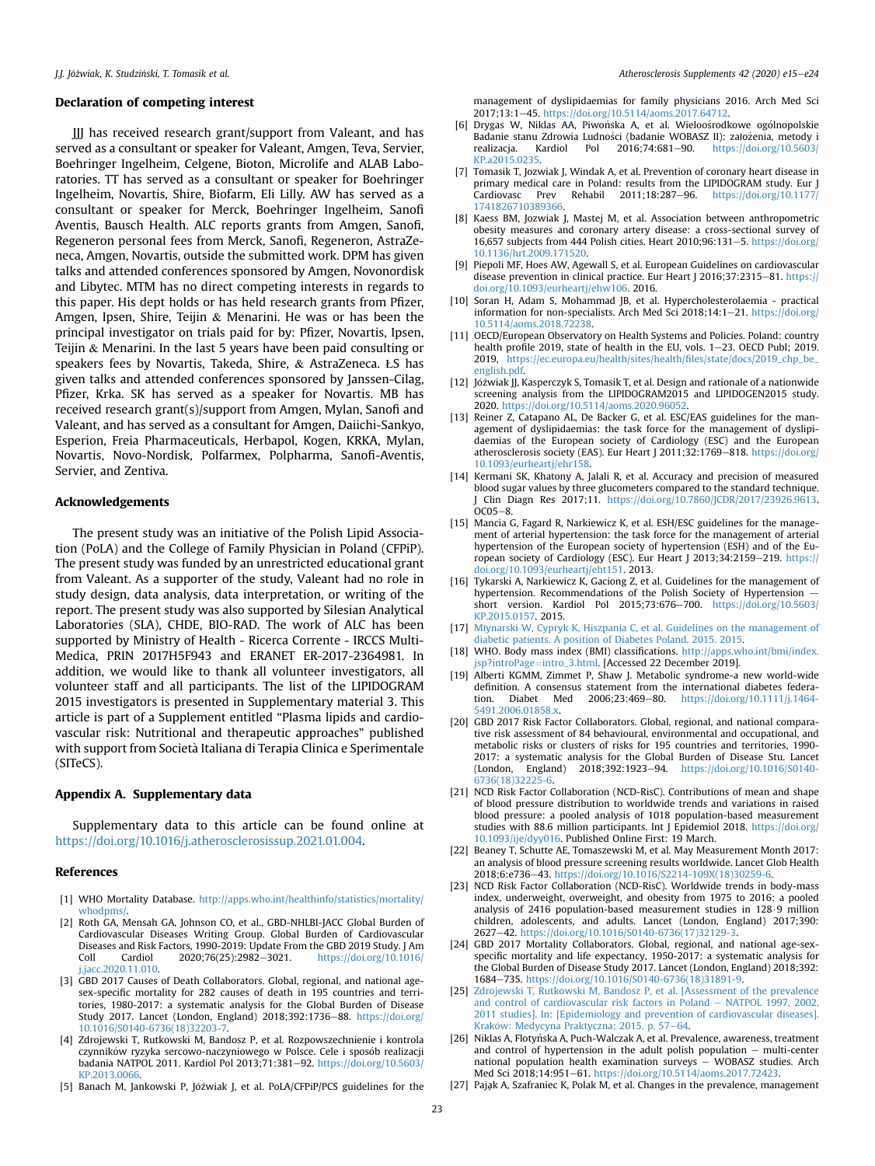#### Declaration of competing interest

JJJ has received research grant/support from Valeant, and has served as a consultant or speaker for Valeant, Amgen, Teva, Servier, Boehringer Ingelheim, Celgene, Bioton, Microlife and ALAB Laboratories. TT has served as a consultant or speaker for Boehringer Ingelheim, Novartis, Shire, Biofarm, Eli Lilly. AW has served as a consultant or speaker for Merck, Boehringer Ingelheim, Sanofi Aventis, Bausch Health. ALC reports grants from Amgen, Sanofi, Regeneron personal fees from Merck, Sanofi, Regeneron, AstraZeneca, Amgen, Novartis, outside the submitted work. DPM has given talks and attended conferences sponsored by Amgen, Novonordisk and Libytec. MTM has no direct competing interests in regards to this paper. His dept holds or has held research grants from Pfizer, Amgen, Ipsen, Shire, Teijin & Menarini. He was or has been the principal investigator on trials paid for by: Pfizer, Novartis, Ipsen, Teijin & Menarini. In the last 5 years have been paid consulting or speakers fees by Novartis, Takeda, Shire, & AstraZeneca. ŁS has given talks and attended conferences sponsored by Janssen-Cilag, Pfizer, Krka. SK has served as a speaker for Novartis. MB has received research grant(s)/support from Amgen, Mylan, Sanofi and Valeant, and has served as a consultant for Amgen, Daiichi-Sankyo, Esperion, Freia Pharmaceuticals, Herbapol, Kogen, KRKA, Mylan, Novartis, Novo-Nordisk, Polfarmex, Polpharma, Sanofi-Aventis, Servier, and Zentiva.

# Acknowledgements

The present study was an initiative of the Polish Lipid Association (PoLA) and the College of Family Physician in Poland (CFPiP). The present study was funded by an unrestricted educational grant from Valeant. As a supporter of the study, Valeant had no role in study design, data analysis, data interpretation, or writing of the report. The present study was also supported by Silesian Analytical Laboratories (SLA), CHDE, BIO-RAD. The work of ALC has been supported by Ministry of Health - Ricerca Corrente - IRCCS Multi-Medica, PRIN 2017H5F943 and ERANET ER-2017-2364981. In addition, we would like to thank all volunteer investigators, all volunteer staff and all participants. The list of the LIPIDOGRAM 2015 investigators is presented in Supplementary material 3. This article is part of a Supplement entitled "Plasma lipids and cardiovascular risk: Nutritional and therapeutic approaches" published with support from Societa Italiana di Terapia Clinica e Sperimentale (SITeCS).

#### Appendix A. Supplementary data

Supplementary data to this article can be found online at [https://doi.org/10.1016/j.atherosclerosissup.2021.01.004.](https://doi.org/10.1016/j.atherosclerosissup.2021.01.004)

#### References

- <span id="page-8-0"></span>[1] WHO Mortality Database. [http://apps.who.int/healthinfo/statistics/mortality/](http://apps.who.int/healthinfo/statistics/mortality/whodpms/) [whodpms/](http://apps.who.int/healthinfo/statistics/mortality/whodpms/).
- <span id="page-8-1"></span>[2] Roth GA, Mensah GA, Johnson CO, et al., GBD-NHLBI-JACC Global Burden of Cardiovascular Diseases Writing Group. Global Burden of Cardiovascular Diseases and Risk Factors, 1990-2019: Update From the GBD 2019 Study. J Am Coll Cardiol 2020;76(25):2982-3021. [https://doi.org/10.1016/](https://doi.org/10.1016/j.jacc.2020.11.010) [j.jacc.2020.11.010](https://doi.org/10.1016/j.jacc.2020.11.010).
- <span id="page-8-2"></span>[3] GBD 2017 Causes of Death Collaborators. Global, regional, and national agesex-specific mortality for 282 causes of death in 195 countries and territories, 1980-2017: a systematic analysis for the Global Burden of Disease Study 2017. Lancet (London, England) 2018;392:1736-88. [https://doi.org/](https://doi.org/10.1016/S0140-6736(18)32203-7) [10.1016/S0140-6736\(18\)32203-7](https://doi.org/10.1016/S0140-6736(18)32203-7).
- <span id="page-8-3"></span>[4] Zdrojewski T, Rutkowski M, Bandosz P, et al. Rozpowszechnienie i kontrola czynników ryzyka sercowo-naczyniowego w Polsce. Cele i sposób realizacji badania NATPOL 2011. Kardiol Pol 2013;71:381-92. [https://doi.org/10.5603/](https://doi.org/10.5603/KP.2013.0066) [KP.2013.0066.](https://doi.org/10.5603/KP.2013.0066)
- <span id="page-8-4"></span>[5] Banach M, Jankowski P, Jóźwiak J, et al. PoLA/CFPiP/PCS guidelines for the

management of dyslipidaemias for family physicians 2016. Arch Med Sci 2017;13:1e45. [https://doi.org/10.5114/aoms.2017.64712.](https://doi.org/10.5114/aoms.2017.64712)

- <span id="page-8-5"></span>[6] Drygas W, Niklas AA, Piwońska A, et al. Wieloośrodkowe ogólnopolskie Badanie stanu Zdrowia Ludności (badanie WOBASZ II): założenia, metody i realizacja. Kardiol Pol 2016;74:681–90. https://doi.org/10.5603/ [https://doi.org/10.5603/](https://doi.org/10.5603/KP.a2015.0235) [KP.a2015.0235](https://doi.org/10.5603/KP.a2015.0235).
- <span id="page-8-6"></span>[7] Tomasik T, Jozwiak J, Windak A, et al. Prevention of coronary heart disease in primary medical care in Poland: results from the LIPIDOGRAM study. Eur J  $\text{Cardiovasc}$  Prev Rehabil 2011:18:287-96. https://doi.org/10.1177 [1741826710389366](https://doi.org/10.1177/1741826710389366).
- <span id="page-8-7"></span>[8] Kaess BM, Jozwiak J, Mastej M, et al. Association between anthropometric obesity measures and coronary artery disease: a cross-sectional survey of 16,657 subjects from 444 Polish cities. Heart 2010;96:131-5. [https://doi.org/](https://doi.org/10.1136/hrt.2009.171520) [10.1136/hrt.2009.171520](https://doi.org/10.1136/hrt.2009.171520).
- <span id="page-8-8"></span>[9] Piepoli MF, Hoes AW, Agewall S, et al. European Guidelines on cardiovascular disease prevention in clinical practice. Eur Heart J 2016;37:2315-81. [https://](https://doi.org/10.1093/eurheartj/ehw106) [doi.org/10.1093/eurheartj/ehw106](https://doi.org/10.1093/eurheartj/ehw106). 2016.
- <span id="page-8-9"></span>[10] Soran H, Adam S, Mohammad JB, et al. Hypercholesterolaemia - practical information for non-specialists. Arch Med Sci 2018;14:1-21. [https://doi.org/](https://doi.org/10.5114/aoms.2018.72238) [10.5114/aoms.2018.72238.](https://doi.org/10.5114/aoms.2018.72238)
- <span id="page-8-10"></span>[11] OECD/European Observatory on Health Systems and Policies. Poland: country health profile 2019, state of health in the EU, vols. 1-23. OECD Publ; 2019. 2019, [https://ec.europa.eu/health/sites/health/](https://ec.europa.eu/health/sites/health/files/state/docs/2019_chp_be_english.pdf)files/state/docs/2019\_chp\_be\_ [english.pdf](https://ec.europa.eu/health/sites/health/files/state/docs/2019_chp_be_english.pdf).
- <span id="page-8-11"></span>[12] Jóźwiak JJ, Kasperczyk S, Tomasik T, et al. Design and rationale of a nationwide screening analysis from the LIPIDOGRAM2015 and LIPIDOGEN2015 study. 2020. [https://doi.org/10.5114/aoms.2020.96052.](https://doi.org/10.5114/aoms.2020.96052)
- <span id="page-8-12"></span>[13] Reiner Z, Catapano AL, De Backer G, et al. ESC/EAS guidelines for the management of dyslipidaemias: the task force for the management of dyslipidaemias of the European society of Cardiology (ESC) and the European atherosclerosis society (EAS). Eur Heart J 2011;32:1769-818. [https://doi.org/](https://doi.org/10.1093/eurheartj/ehr158) [10.1093/eurheartj/ehr158](https://doi.org/10.1093/eurheartj/ehr158).
- <span id="page-8-13"></span>[14] Kermani SK, Khatony A, Jalali R, et al. Accuracy and precision of measured blood sugar values by three glucometers compared to the standard technique. J Clin Diagn Res 2017;11. <https://doi.org/10.7860/JCDR/2017/23926.9613>.  $0C<sub>05–8</sub>$
- <span id="page-8-14"></span>[15] Mancia G, Fagard R, Narkiewicz K, et al. ESH/ESC guidelines for the management of arterial hypertension: the task force for the management of arterial hypertension of the European society of hypertension (ESH) and of the European society of Cardiology (ESC). Eur Heart J 2013;34:2159-219. [https://](https://doi.org/10.1093/eurheartj/eht151) [doi.org/10.1093/eurheartj/eht151](https://doi.org/10.1093/eurheartj/eht151). 2013.
- <span id="page-8-15"></span>[16] Tykarski A, Narkiewicz K, Gaciong Z, et al. Guidelines for the management of hypertension. Recommendations of the Polish Society of Hypertension short version. Kardiol Pol 2015;73:676-700. [https://doi.org/10.5603/](https://doi.org/10.5603/KP.2015.0157) [KP.2015.0157](https://doi.org/10.5603/KP.2015.0157). 2015.
- <span id="page-8-16"></span>[17] Mł[ynarski W, Cypryk K, Hiszpania C, et al. Guidelines on the management of](http://refhub.elsevier.com/S1567-5688(21)00004-0/sref17) [diabetic patients. A position of Diabetes Poland. 2015. 2015](http://refhub.elsevier.com/S1567-5688(21)00004-0/sref17).
- <span id="page-8-17"></span>[18] WHO. Body mass index (BMI) classifications. [http://apps.who.int/bmi/index.](http://apps.who.int/bmi/index.jsp?introPage=intro_3.html) [jsp?introPage](http://apps.who.int/bmi/index.jsp?introPage=intro_3.html)=[intro\\_3.html](http://apps.who.int/bmi/index.jsp?introPage=intro_3.html). [Accessed 22 December 2019].
- <span id="page-8-18"></span>[19] Alberti KGMM, Zimmet P, Shaw J. Metabolic syndrome-a new world-wide definition. A consensus statement from the international diabetes federa-<br>tion. Diabet Med 2006:23:469-80. https://doi.org/10.1111/i.1464[https://doi.org/10.1111/j.1464-](https://doi.org/10.1111/j.1464-5491.2006.01858.x) [5491.2006.01858.x](https://doi.org/10.1111/j.1464-5491.2006.01858.x).
- <span id="page-8-19"></span>[20] GBD 2017 Risk Factor Collaborators. Global, regional, and national comparative risk assessment of 84 behavioural, environmental and occupational, and metabolic risks or clusters of risks for 195 countries and territories, 1990- 2017: a systematic analysis for the Global Burden of Disease Stu. Lancet (London, England) 2018;392:1923-94. [https://doi.org/10.1016/S0140-](https://doi.org/10.1016/S0140-6736(18)32225-6) [6736\(18\)32225-6.](https://doi.org/10.1016/S0140-6736(18)32225-6)
- <span id="page-8-20"></span>[21] NCD Risk Factor Collaboration (NCD-RisC). Contributions of mean and shape of blood pressure distribution to worldwide trends and variations in raised blood pressure: a pooled analysis of 1018 population-based measurement studies with 88.6 million participants. Int J Epidemiol 2018. [https://doi.org/](https://doi.org/10.1093/ije/dyy016) [10.1093/ije/dyy016.](https://doi.org/10.1093/ije/dyy016) Published Online First: 19 March.
- <span id="page-8-21"></span>[22] Beaney T, Schutte AE, Tomaszewski M, et al. May Measurement Month 2017: an analysis of blood pressure screening results worldwide. Lancet Glob Health 2018;6:e736-43. [https://doi.org/10.1016/S2214-109X\(18\)30259-6](https://doi.org/10.1016/S2214-109X(18)30259-6).
- <span id="page-8-22"></span>[23] NCD Risk Factor Collaboration (NCD-RisC). Worldwide trends in body-mass index, underweight, overweight, and obesity from 1975 to 2016: a pooled analysis of 2416 population-based measurement studies in 128.9 million children, adolescents, and adults. Lancet (London, England) 2017;390: 2627-42. https://doi.org/10.1016/S0140-6736(17)32129-
- <span id="page-8-23"></span>[24] GBD 2017 Mortality Collaborators. Global, regional, and national age-sexspecific mortality and life expectancy, 1950-2017: a systematic analysis for the Global Burden of Disease Study 2017. Lancet (London, England) 2018;392: 1684e735. [https://doi.org/10.1016/S0140-6736\(18\)31891-9](https://doi.org/10.1016/S0140-6736(18)31891-9).
- <span id="page-8-24"></span>[25] [Zdrojewski T, Rutkowski M, Bandosz P, et al. \[Assessment of the prevalence](http://refhub.elsevier.com/S1567-5688(21)00004-0/sref25) [and control of cardiovascular risk factors in Poland](http://refhub.elsevier.com/S1567-5688(21)00004-0/sref25) - [NATPOL 1997, 2002,](http://refhub.elsevier.com/S1567-5688(21)00004-0/sref25) [2011 studies\]. In: \[Epidemiology and prevention of cardiovascular diseases\].](http://refhub.elsevier.com/S1567-5688(21)00004-0/sref25) Kraków: Medycyna Praktyczna; 2015. p. 57–[64.](http://refhub.elsevier.com/S1567-5688(21)00004-0/sref25)
- <span id="page-8-25"></span>[26] Niklas A, Flotyńska A, Puch-Walczak A, et al. Prevalence, awareness, treatment and control of hypertension in the adult polish population  $-$  multi-center national population health examination surveys - WOBASZ studies. Arch Med Sci 2018;14:951-61. <https://doi.org/10.5114/aoms.2017.72423>.
- <span id="page-8-26"></span>[27] Pajak A, Szafraniec K, Polak M, et al. Changes in the prevalence, management